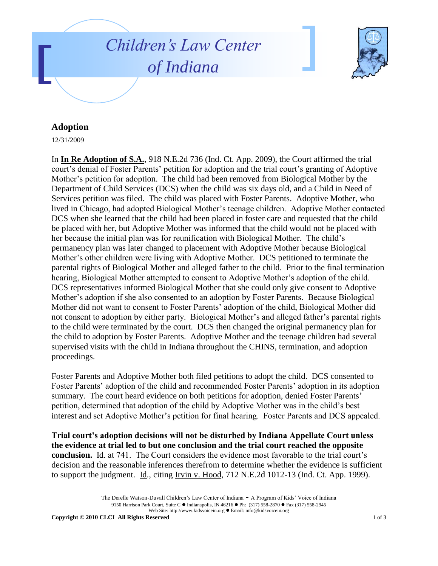



## **Adoption**

12/31/2009

In **In Re Adoption of S.A.**, 918 N.E.2d 736 (Ind. Ct. App. 2009), the Court affirmed the trial court's denial of Foster Parents' petition for adoption and the trial court's granting of Adoptive Mother's petition for adoption. The child had been removed from Biological Mother by the Department of Child Services (DCS) when the child was six days old, and a Child in Need of Services petition was filed. The child was placed with Foster Parents. Adoptive Mother, who lived in Chicago, had adopted Biological Mother's teenage children. Adoptive Mother contacted DCS when she learned that the child had been placed in foster care and requested that the child be placed with her, but Adoptive Mother was informed that the child would not be placed with her because the initial plan was for reunification with Biological Mother. The child's permanency plan was later changed to placement with Adoptive Mother because Biological Mother's other children were living with Adoptive Mother. DCS petitioned to terminate the parental rights of Biological Mother and alleged father to the child. Prior to the final termination hearing, Biological Mother attempted to consent to Adoptive Mother's adoption of the child. DCS representatives informed Biological Mother that she could only give consent to Adoptive Mother's adoption if she also consented to an adoption by Foster Parents. Because Biological Mother did not want to consent to Foster Parents' adoption of the child, Biological Mother did not consent to adoption by either party. Biological Mother's and alleged father's parental rights to the child were terminated by the court. DCS then changed the original permanency plan for the child to adoption by Foster Parents. Adoptive Mother and the teenage children had several supervised visits with the child in Indiana throughout the CHINS, termination, and adoption proceedings.

Foster Parents and Adoptive Mother both filed petitions to adopt the child. DCS consented to Foster Parents' adoption of the child and recommended Foster Parents' adoption in its adoption summary. The court heard evidence on both petitions for adoption, denied Foster Parents' petition, determined that adoption of the child by Adoptive Mother was in the child's best interest and set Adoptive Mother's petition for final hearing. Foster Parents and DCS appealed.

**Trial court's adoption decisions will not be disturbed by Indiana Appellate Court unless the evidence at trial led to but one conclusion and the trial court reached the opposite conclusion.** Id. at 741. The Court considers the evidence most favorable to the trial court's decision and the reasonable inferences therefrom to determine whether the evidence is sufficient to support the judgment. Id., citing Irvin v. Hood, 712 N.E.2d 1012-13 (Ind. Ct. App. 1999).

> The Derelle Watson-Duvall Children's Law Center of Indiana - A Program of Kids' Voice of Indiana 9150 Harrison Park Court, Suite C · Indianapolis, IN 46216 · Ph: (317) 558-2870 · Fax (317) 558-2945 Web Site: http://www.kidsvoicein.org · Email: info@kidsvoicein.org

**Copyright © 2010 CLCI All Rights Reserved** 1 of 3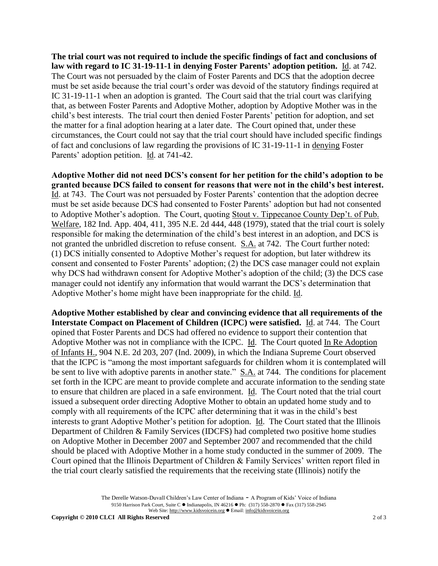**The trial court was not required to include the specific findings of fact and conclusions of law with regard to IC 31-19-11-1 in denying Foster Parents' adoption petition.** Id. at 742. The Court was not persuaded by the claim of Foster Parents and DCS that the adoption decree must be set aside because the trial court's order was devoid of the statutory findings required at IC 31-19-11-1 when an adoption is granted. The Court said that the trial court was clarifying that, as between Foster Parents and Adoptive Mother, adoption by Adoptive Mother was in the child's best interests. The trial court then denied Foster Parents' petition for adoption, and set the matter for a final adoption hearing at a later date. The Court opined that, under these circumstances, the Court could not say that the trial court should have included specific findings of fact and conclusions of law regarding the provisions of IC 31-19-11-1 in denying Foster Parents' adoption petition. Id. at 741-42.

**Adoptive Mother did not need DCS's consent for her petition for the child's adoption to be granted because DCS failed to consent for reasons that were not in the child's best interest.** Id. at 743. The Court was not persuaded by Foster Parents' contention that the adoption decree must be set aside because DCS had consented to Foster Parents' adoption but had not consented to Adoptive Mother's adoption. The Court, quoting Stout v. Tippecanoe County Dep't. of Pub. Welfare, 182 Ind. App. 404, 411, 395 N.E. 2d 444, 448 (1979), stated that the trial court is solely responsible for making the determination of the child's best interest in an adoption, and DCS is not granted the unbridled discretion to refuse consent. S.A. at 742. The Court further noted: (1) DCS initially consented to Adoptive Mother's request for adoption, but later withdrew its consent and consented to Foster Parents' adoption; (2) the DCS case manager could not explain why DCS had withdrawn consent for Adoptive Mother's adoption of the child; (3) the DCS case manager could not identify any information that would warrant the DCS's determination that Adoptive Mother's home might have been inappropriate for the child. Id.

**Adoptive Mother established by clear and convincing evidence that all requirements of the Interstate Compact on Placement of Children (ICPC) were satisfied.** Id. at 744. The Court opined that Foster Parents and DCS had offered no evidence to support their contention that Adoptive Mother was not in compliance with the ICPC. Id. The Court quoted In Re Adoption of Infants H., 904 N.E. 2d 203, 207 (Ind. 2009), in which the Indiana Supreme Court observed that the ICPC is "among the most important safeguards for children whom it is contemplated will be sent to live with adoptive parents in another state." S.A. at 744. The conditions for placement set forth in the ICPC are meant to provide complete and accurate information to the sending state to ensure that children are placed in a safe environment. Id. The Court noted that the trial court issued a subsequent order directing Adoptive Mother to obtain an updated home study and to comply with all requirements of the ICPC after determining that it was in the child's best interests to grant Adoptive Mother's petition for adoption. Id. The Court stated that the Illinois Department of Children & Family Services (IDCFS) had completed two positive home studies on Adoptive Mother in December 2007 and September 2007 and recommended that the child should be placed with Adoptive Mother in a home study conducted in the summer of 2009. The Court opined that the Illinois Department of Children & Family Services' written report filed in the trial court clearly satisfied the requirements that the receiving state (Illinois) notify the

> The Derelle Watson-Duvall Children's Law Center of Indiana - A Program of Kids' Voice of Indiana 9150 Harrison Park Court, Suite C · Indianapolis, IN 46216 · Ph: (317) 558-2870 · Fax (317) 558-2945 Web Site: http://www.kidsvoicein.org · Email: info@kidsvoicein.org